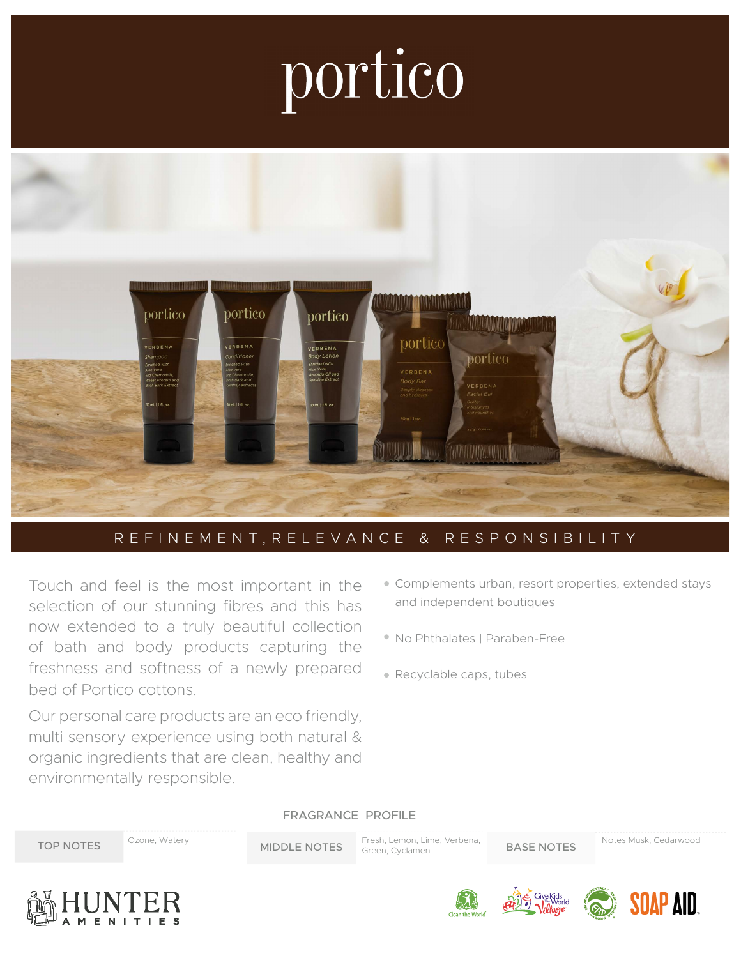## portico



## REFINEMENT,RELEVANCE & RESPONSIBILITY

Touch and feel is the most important in the selection of our stunning fibres and this has now extended to a truly beautiful collection of bath and body products capturing the freshness and softness of a newly prepared bed of Portico cottons.

Our personal care products are an eco friendly, multi sensory experience using both natural & organic ingredients that are clean, healthy and environmentally responsible.

- Complements urban, resort properties, extended stays and independent boutiques
- No Phthalates | Paraben-Free
- Recyclable caps, tubes

FRAGRANCE PROFILE

MIDDLE NOTES Fresh, Lemon, Lime, Verbena, BASE NOTES Green, Cyclamen TOP NOTES <sup>Ozone, Watery</sup> MIDDLE NOTES Fresh, Lemon, Lime, Verbena, BASE NOTES Notes Musk, Cedarwood